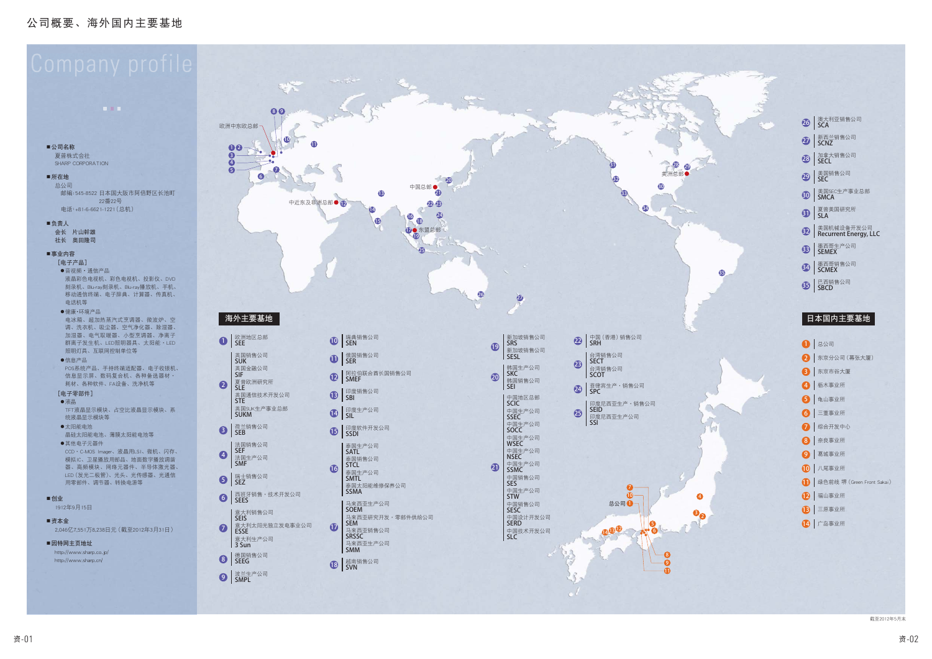**COL** 



夏普株式会社 SHARP CORPORATION

### ■所在地

总公司 邮编: 545-8522 日本国大阪市阿倍野区长池町 22番22号 电话: +81-6-6621-1221 (总机)

■负责人

会长 片山幹雄 社长 奥田隆司

### ■事业内容

[电子产品]

- ●音视频·通信产品 液晶彩色电视机、彩色电视机、投影仪、DVD 刻录机、Blu-ray刻录机、Blu-ray播放机、手机、 移动通信终端、电子辞典、计算器、传真机、 电话机等
- ●健康・环境产品
- 电冰箱、超加热蒸汽式烹调器、微波炉、空 调、洗衣机、吸尘器、空气净化器、除湿器、 加湿器、电气取暖器、小型烹调器、净离子 群离子发生机、LED照明器具、太阳能·LED 照明灯具、互联网控制单位等
- ●信息产品 POS系统产品、手持终端适配器、电子收银机、 信息显示屏、数码复合机、各种备选器材· 耗材、各种软件、FA设备、洗净机等
- [电子零部件]
- ●液晶TFT液晶显示模块、占空比液晶显示模块、系 统液晶显示模块等
- $\bullet$ 太阳能电池 晶硅太阳能电池、薄膜太阳能电池等
- ●其他电子元器件 CCD · C-MOS Imager、液晶用LSI、微机、闪存、 模拟IC、卫星播放用部品、地面数字播放调谐 器、高频模块、网络元器件、半导体激光器、 LED (发光二极管)、光头、光传感器、光通信 用零部件、调节器、转换电源等
- ■创业
- 1912年9月15日
- ■资木全 2.046亿7.7.551万8.238日元 (截至2012年3月31日)

■因特网主页地址 http://www.sharp.co.jp/ http://www.sharp.cn/



| 26 澳大利亚销售公司             |
|-------------------------|
| 27 SCNZ                 |
| 28 加拿大销售公司              |
| 29 美国销售公司               |
| 30 美国SEC生产事业总部          |
| 3 夏普美国研究所               |
| 32   美国机械设备开发公司         |
| 33   墨西哥生产公司            |
| 34 <mark>墨西哥销售公司</mark> |
| 35 E西销售公司               |

35

| 1 总公司                        |
|------------------------------|
| 2   东京分公司(幕张大厦)              |
| 3 东京市谷大厦                     |
| 4 枥木事业所                      |
| 5 龟山事业所                      |
| 6 三重事业所                      |
| ■ 综合开发中心                     |
| 8 奈良事业所                      |
| 9 葛城事业所                      |
| 10 八尾事业所                     |
| 1 绿色前线 堺 (Green Front Sakai) |
| 1 福山事业所                      |
| 13 三原事业所                     |
| 14 广岛事业所                     |

截至2012年5月末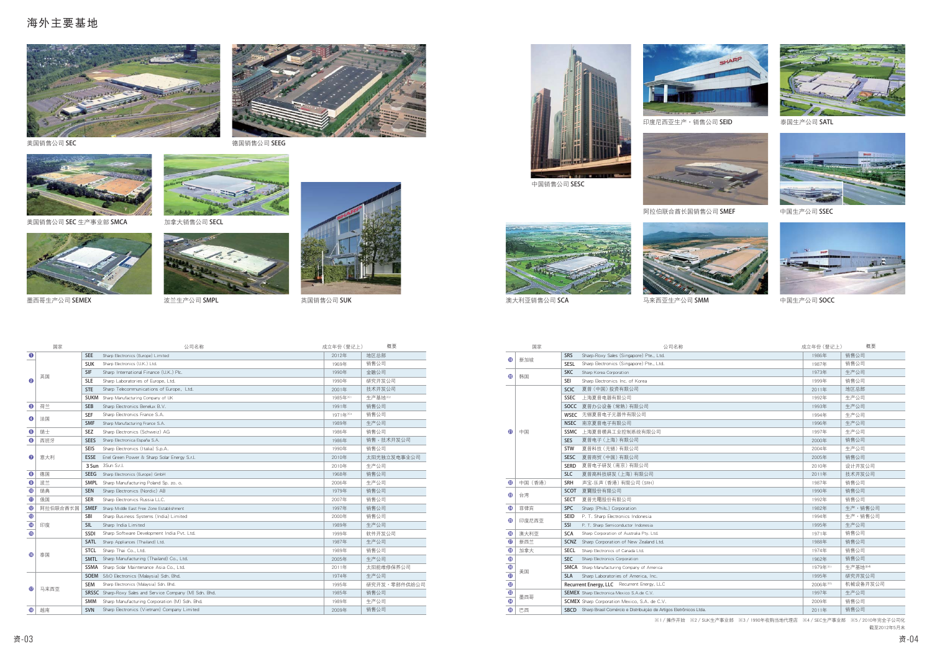## 海外主要基地







美国销售公司 SEC 生产事业部 SMCA



墨西哥生产公司 SEMEX



加拿大销售公司 SECL





SEMEX ᄪ߶ညตާ๖ SUK Ԓූդާ๖ SMPL



印度尼西亚生产 · 销售公司 SEID



|                 | 国家       |             | 公司名称                                                            | 成立年份 (登记上) | 概要           |
|-----------------|----------|-------------|-----------------------------------------------------------------|------------|--------------|
| $\bullet$       |          | <b>SEE</b>  | Sharp Electronics (Europe) Limited                              | 2012年      | 地区总部         |
|                 |          | <b>SUK</b>  | Sharp Electronics (U.K.) Ltd.                                   | 1969年      | 销售公司         |
|                 | 英国       | <b>SIF</b>  | Sharp International Finance (U.K.) Plc.                         | 1990年      | 金融公司         |
| 0               |          | <b>SLE</b>  | Sharp Laboratories of Europe, Ltd.                              | 1990年      | 研究开发公司       |
|                 |          | <b>STE</b>  | Sharp Telecommunications of Europe, Ltd.                        | 2001年      | 技术开发公司       |
|                 |          | <b>SUKM</b> | Sharp Manufacturing Company of UK                               | 1985年※1    | 牛产基地※2       |
| 0               | 荷兰       | <b>SEB</b>  | Sharp Electronics Benelux B.V.                                  | 1991年      | 销售公司         |
| ❹               |          | <b>SEF</b>  | Sharp Electronics France S.A.                                   | 1971年※3    | 销售公司         |
|                 | 法国       | <b>SMF</b>  | Sharp Manufacturing France S.A.                                 | 1989年      | 生产公司         |
| $\bullet$       | 瑞士       | <b>SEZ</b>  | Sharp Electronics (Schweiz) AG                                  | 1986年      | 销售公司         |
| $\bullet$       | 西班牙      | <b>SEES</b> | Sharp Electronica España S.A.                                   | 1986年      | 销售·技术开发公司    |
|                 |          | <b>SEIS</b> | Sharp Electronics (Italia) S.p.A.                               | 1990年      | 销售公司         |
| ❼               | 意大利      | <b>ESSE</b> | Enel Green Power & Sharp Solar Energy S.r.l.                    | 2010年      | 太阳光独立发电事业公司  |
|                 |          | 3 Sun       | 3Sun S.r.l.                                                     | 2010年      | 生产公司         |
| $\circled{3}$   | 德国       | <b>SEEG</b> | Sharp Electronics (Europe) GmbH                                 | 1968年      | 销售公司         |
| $\bullet$       | 波兰       | <b>SMPL</b> | Sharp Manufacturing Poland Sp. zo. o.                           | 2006年      | 生产公司         |
| $\mathbf 0$     | 瑞典       | <b>SEN</b>  | Sharp Electronics (Nordic) AB                                   | 1979年      | 销售公司         |
| $\bf \Phi$      | 俄国       | <b>SER</b>  | Sharp Electronics Russia LLC.                                   | 2007年      | 销售公司         |
| $\mathbf{C}$    | 阿拉伯联合酋长国 | <b>SMEF</b> | Sharp Middle East Free Zone Establishment                       | 1997年      | 销售公司         |
| $\mathbf{\Phi}$ |          | SBI         | Sharp Business Systems (India) Limited                          | 2000年      | 销售公司         |
| $\bullet$       | 印度       | <b>SIL</b>  | Sharp India Limited                                             | 1989年      | 生产公司         |
| $\mathbf 6$     |          | SSDI        | Sharp Software Development India Pvt. Ltd.                      | 1999年      | 软件开发公司       |
|                 |          | <b>SATL</b> | Sharp Appliances (Thailand) Ltd.                                | 1987年      | 生产公司         |
| $\mathbf{G}$    | 泰国       | <b>STCL</b> | Sharp Thai Co., Ltd.                                            | 1989年      | 销售公司         |
|                 |          | <b>SMTL</b> | Sharp Manufacturing (Thailand) Co., Ltd.                        | 2005年      | 生产公司         |
|                 |          | <b>SSMA</b> | Sharp Solar Maintenance Asia Co., Ltd.                          | 2011年      | 太阳能维修保养公司    |
|                 |          | <b>SOEM</b> | S&O Electronics (Malaysia) Sdn. Bhd.                            | 1974年      | 生产公司         |
| $\bf{r}$        | 马来西亚     | <b>SEM</b>  | Sharp Electronics (Malaysia) Sdn. Bhd.                          | 1995年      | 研究开发·零部件供给公司 |
|                 |          |             | <b>SRSSC</b> Sharp-Roxy Sales and Service Company (M) Sdn. Bhd. | 1985年      | 销售公司         |
|                 |          | <b>SMM</b>  | Sharp Manufacturing Corporation (M) Sdn. Bhd.                   | 1989年      | 生产公司         |
| ®               | 越南       | <b>SVN</b>  | Sharp Electronics (Vietnam) Company Limited                     | 2009年      | 销售公司         |



德国销售公司 SEEG



中国销售公司 SESC



阿拉伯联合酋长国销售公司 SMEF



澳大利亚销售公司 SCA

司 SCA ファンス マンス 马来西亚生产公司 SMM アンチャン アウト 中国生产公司 SOCC



泰国生产公司 SATL



|                       | 国家      |             | 公司名称                                                                   | 成立年份 (登记上)          | 概要       |
|-----------------------|---------|-------------|------------------------------------------------------------------------|---------------------|----------|
| $\mathbf \Phi$        | 新加坡     | <b>SRS</b>  | Sharp-Roxy Sales (Singapore) Pte., Ltd.                                | 1986年               | 销售公司     |
|                       |         | <b>SESL</b> | Sharp Electronics (Singapore) Pte., Ltd.                               | 1987年               | 销售公司     |
| ⊕                     | 韩国      | <b>SKC</b>  | Sharp Korea Corporation                                                | 1973年               | 生产公司     |
|                       |         | <b>SEI</b>  | Sharp Electronics Inc. of Korea                                        | 1999年               | 销售公司     |
|                       |         | <b>SCIC</b> | 夏普 (中国) 投资有限公司                                                         | 2011年               | 地区总部     |
|                       |         | <b>SSEC</b> | 上海夏普电器有限公司                                                             | 1992年               | 生产公司     |
|                       |         |             | SOCC 夏普办公设备 (常熟) 有限公司                                                  | 1993年               | 生产公司     |
|                       |         | WSEC        | 无锡夏普电子元器件有限公司                                                          | 1994年               | 生产公司     |
|                       |         | <b>NSEC</b> | 南京夏普电子有限公司                                                             | 1996年               | 生产公司     |
| O                     | 中国      |             | SSMC 上海夏普模具工业控制系统有限公司                                                  | 1997年               | 生产公司     |
|                       |         | <b>SES</b>  | 夏普电子 (上海) 有限公司                                                         | 2000年               | 销售公司     |
|                       |         | <b>STW</b>  | 夏普科技 (无锡) 有限公司                                                         | 2004年               | 生产公司     |
|                       |         | <b>SESC</b> | 夏普商贸 (中国) 有限公司                                                         | 2005年               | 销售公司     |
|                       |         | <b>SERD</b> | 夏普电子研发 (南京) 有限公司                                                       | 2010年               | 设计开发公司   |
|                       |         | <b>SLC</b>  | 夏普高科技研发 (上海) 有限公司                                                      | 2011年               | 技术开发公司   |
| ֎                     | 中国 (香港) | <b>SRH</b>  | 声宝-乐声 (香港) 有限公司 (SRH)                                                  | 1987年               | 销售公司     |
| ❸                     | 台湾      | <b>SCOT</b> | 夏寶股份有限公司                                                               | 1990年               | 销售公司     |
|                       |         | <b>SECT</b> | 夏普光電股份有限公司                                                             | 1992年               | 销售公司     |
| ❹                     | 菲律宾     | <b>SPC</b>  | Sharp (Phils.) Corporation                                             | 1982年               | 生产·销售公司  |
| ⊕                     | 印度尼西亚   | <b>SEID</b> | P. T. Sharp Electronics Indonesia                                      | 1994年               | 生产・销售公司  |
|                       |         | SSI         | P. T. Sharp Semiconductor Indonesia                                    | 1995年               | 生产公司     |
| ⊕                     | 澳大利亚    | <b>SCA</b>  | Sharp Corporation of Australia Pty. Ltd.                               | 1971年               | 销售公司     |
| Ð                     | 新西兰     | <b>SCNZ</b> | Sharp Corporation of New Zealand Ltd.                                  | 1988年               | 销售公司     |
| 28                    | 加拿大     | <b>SECL</b> | Sharp Electronics of Canada Ltd.                                       | 1974年               | 销售公司     |
| ⊕                     |         | <b>SEC</b>  | Sharp Electronics Corporation                                          | 1962年               | 销售公司     |
| $\overline{\bullet}$  | 美国      |             | <b>SMCA</b> Sharp Manufacturing Company of America                     | 1979年※1             | 牛产基地※4   |
| $\frac{1}{\Phi}$      |         | <b>SLA</b>  | Sharp Laboratories of America, Inc.                                    | 1995年               | 研究开发公司   |
| $\frac{1}{\circledR}$ |         |             | Recurrent Energy, LLC Recurrent Energy, LLC                            | 2006年 <sup>※5</sup> | 机械设备开发公司 |
| 68                    | 墨西哥     |             | SEMEX Sharp Electronica Mexico S.A.de C.V.                             | 1997年               | 生产公司     |
| 0                     |         |             | <b>SCMEX</b> Sharp Corporation Mexico, S.A. de C.V.                    | 2009年               | 销售公司     |
| 65                    | 巴西      |             | SBCD Sharp Brasil Comércio e Distribuição de Artigos Eletrônicos Ltda. | 2011年               | 销售公司     |

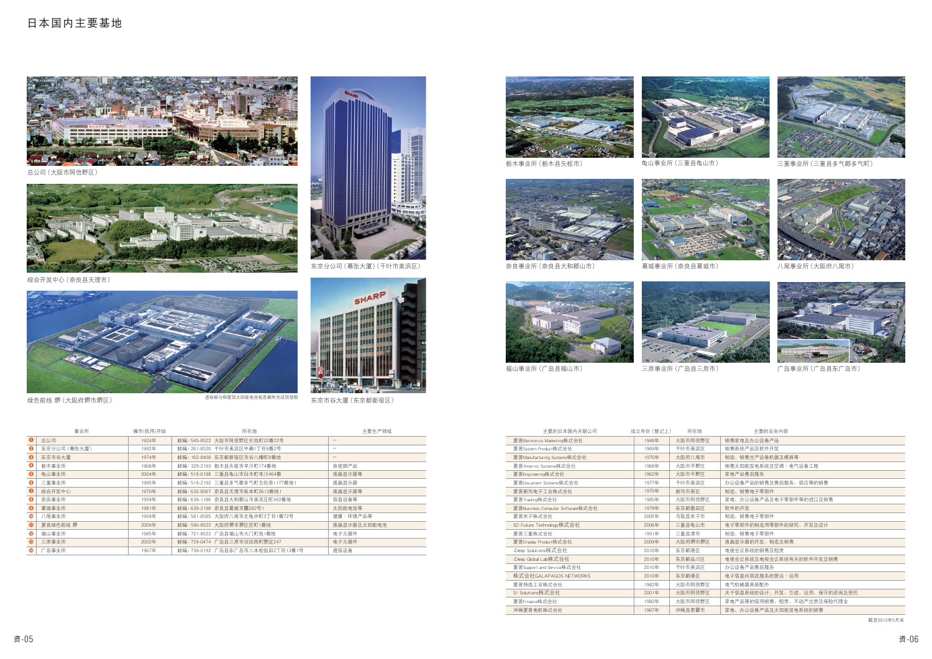## 日本国内主要基地



总公司 (大阪市阿倍野区)



综合开发中心 (奈良县天理市)



绿色前线 堺 (大阪府堺市堺区)



东京分公司 (幕张大厦) (千叶市美浜区)

| 主要的日本国内关联公司                      | 成立年份 (登记上) | 所在地     | 主要的业务内容                     |
|----------------------------------|------------|---------|-----------------------------|
| 夏普Electronics Marketing株式会社      | 1948年      | 大阪市阿倍野区 | 销售家电及办公设备产品                 |
| 夏普System Product株式会社             | 1969年      | 千叶市美浜区  | 销售系统产品及软件开发                 |
| 夏普Manufacturing Systems株式会社      | 1970年      | 大阪府八尾市  | 制造、销售生产设备机器及模具等             |
| 夏普Amenity Systems株式会社            | 1968年      | 大阪市平野区  | 销售太阳能发电系统及空调・电气设备工程         |
| 夏普Engineering株式会社                | 1962年      | 大阪市平野区  | 家电产品售后服务                    |
| 夏普Document Svstems株式会社           | 1977年      | 千叶市美浜区  | 办公设备产品的销售及售后服务、供应等的销售       |
| 夏普新泻电子工业株式会社                     | 1970年      | 新泻市南区   | 制造、销售电子零部件                  |
| 夏普Trading株式会社                    | 1985年      | 大阪市阿倍野区 | 家电、办公设备产品及电子零部件等的进口及销售      |
| 夏普Business Computer Software株式会社 | 1979年      | 东京都墨田区  | 软件的开发                       |
| 夏普米子株式会社                         | 2005年      | 鸟取县米子市  | 制造、销售电子零部件                  |
| SD Future Technology株式会社         | 2006年      | 三重县龟山市  | 电子零部件的制造用零部件的研究、开发及设计       |
| 夏普三重株式会社                         | 1991年      | 三重具津市   | 制造、销售电子零部件                  |
| 夏普Display Product株式会社            | 2009年      | 大阪府堺市堺区 | 液晶显示器的开发、制造及销售              |
| iDeep Solutions株式会社              | 2010年      | 东京都港区   | 电视会议系统的销售及和赁                |
| iDeep Global Lab株式会社             | 2010年      | 东京都品川区  | 电视会议系统及电视会议系统有关的软件开发及销售     |
| 夏普Support and Service株式会社        | 2010年      | 千叶市美浜区  | 办公设备产品售后服务                  |
| 株式会社GALAPAGOS NETWORKS           | 2010年      | 东京都港区   | 电子信息内容店服务的营运・运用             |
| 夏普特选工业株式会社                       | 1982年      | 大阪市阿倍野区 | 电气机械器具装配外                   |
| SI Solutions株式会社                 | 2001年      | 大阪市阿倍野区 | 关于信息系统的设计、开发、引进、运用、保守的咨询及受托 |
| 夏普Finance株式会社                    | 1982年      | 大阪市阿倍野区 | 家电产品等的信用销售、租赁、不动产出赁及保险代理业   |
| 冲绳夏普电机株式会社                       | 1967年      | 冲绳县那霸市  | 家电、办公设备产品及太阳能发电系统的销售        |



三重事业所 (三重县多气郡多气町)







八尾事业所(大阪府八尾市)



广岛事业所 (广岛县东广岛市)

截至2012年5月末

) 虚线部分和屋顶太阳能电池板是最终完成预想图 东京市谷大厦(东京都新宿区)

|                       | 事业所          | 操作(供用)开始 | 所在地                               | 主要生产领域                                |
|-----------------------|--------------|----------|-----------------------------------|---------------------------------------|
| $\bullet$             | 总公司          | 1924年    | 邮编: 545-8522 大阪市阿倍野区长池町22番22号     | $\hspace{1.0cm} \rule{1.5cm}{0.15cm}$ |
| ℯ                     | 东京分公司 (幕张大厦) | 1992年    | 邮编: 261-8520 千叶市美浜区中濑1丁目9番2号      |                                       |
| ❸                     | 东京市谷大厦       | 1974年    | 邮编: 162-8408 东京都新宿区市谷八幡町8番地       | $\qquad \qquad -$                     |
| Θ                     | 枥木事业所        | 1968年    | 邮编: 329-2193 枥木县矢板市早川町174番地       | 音视频产品                                 |
| $\bullet$             | 龟山事业所        | 2004年    | 邮编: 519-0198 三重县龟山市白木町幸川464番      | 液晶显示器等                                |
| 6                     | 三重事业所        | 1995年    | 邮编: 519-2192 三重县多气郡多气町五佐奈1177番地1  | 液晶显示器                                 |
| $\boldsymbol{c}$      | 综合开发中心       | 1970年    | 邮编: 632-8567 奈良县天理市栎本町2613番地1     | 液晶显示器等                                |
| 8                     | 奈良事业所        | 1959年    | 邮编: 639-1186 奈良县大和郡山市美浓庄町492番地    | 信息设备等                                 |
| $\boldsymbol{\Theta}$ | 葛城事业所        | 1981年    | 邮编: 639-2198 奈良县葛城市薑282号1         | 太阳能电池等                                |
| ⊕                     | 八尾事业所        | 1959年    | 邮编: 581-8585 大阪府八尾市北龟井町3丁目1番72号   | 健康・环境产品等                              |
| $\mathbf 0$           | 夏普绿色前线 堺     | 2009年    | 邮编: 590-8522 大阪府堺市堺区匠町1番地         | 液晶显示器及太阳能电池                           |
| $\mathbf{B}$          | 福山事业所        | 1985年    | 邮编: 721-8522 广岛县福山市大门町旭1番地        | 电子元器件                                 |
| $\bigcirc$            | 三原事业所        | 2002年    | 邮编: 729-0474 广岛县三原市沼田西町惣定247      | 电子元器件                                 |
| $\bullet$             | 广岛事业所        | 1967年    | 邮编: 739-0192 广岛县东广岛市八本松饭田2丁目13番1号 | 通信设备                                  |





枥木事业所 (枥木县矢板市)

龟山事业所(三重县龟山市)



奈良事业所 (奈良县大和郡山市) 葛城事业所 (奈良县葛城市)



福山事业所 (广岛县福山市)

三原事业所 (广岛县三原市)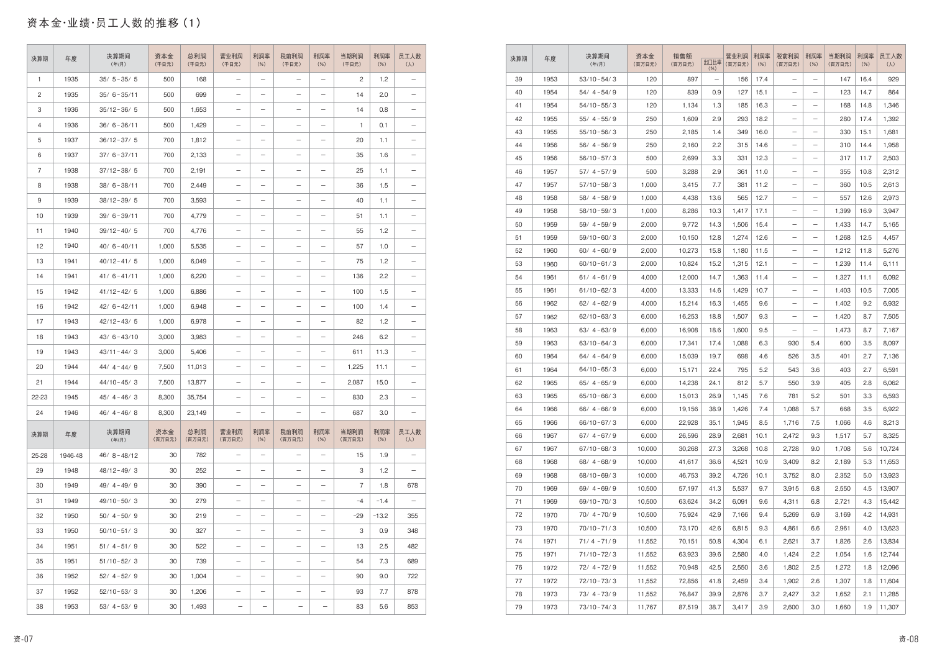# 资本金·业绩·员工人数的推移(1)

| 决算期            | 年度      | 决算期间<br>(年/月)  | 资本金<br>(千日元)  | 总利润<br>(千日元)  | 营业利润<br>(千日元)            | 利润率<br>(% )              | 税前利润<br>(千日元)            | 利润率<br>(% )              | 当期利润<br>(千日元)  | 利润率<br>(% ) | 员工人数<br>$(\lambda)$      |
|----------------|---------|----------------|---------------|---------------|--------------------------|--------------------------|--------------------------|--------------------------|----------------|-------------|--------------------------|
| $\mathbf{1}$   | 1935    | $35/5 - 35/5$  | 500           | 168           | $\qquad \qquad -$        | $\overline{\phantom{m}}$ | —                        | $\qquad \qquad -$        | $\overline{c}$ | 1.2         | $\qquad \qquad -$        |
| $\mathbf{2}$   | 1935    | $35/6 - 35/11$ | 500           | 699           | $\qquad \qquad -$        |                          | $\overline{\phantom{0}}$ | -                        | 14             | 2.0         |                          |
| 3              | 1936    | $35/12 - 36/5$ | 500           | 1,653         | $\qquad \qquad -$        | $\qquad \qquad -$        | —                        | —                        | 14             | 0.8         | $\qquad \qquad -$        |
| 4              | 1936    | $36/6 - 36/11$ | 500           | 1,429         | $\qquad \qquad -$        | $\overline{\phantom{m}}$ |                          | -                        | 1              | 0.1         | $\qquad \qquad -$        |
| 5              | 1937    | $36/12 - 37/5$ | 700           | 1,812         | $\qquad \qquad -$        | $\overline{\phantom{m}}$ | —                        | —                        | 20             | 1.1         |                          |
| 6              | 1937    | $37/6 - 37/11$ | 700           | 2,133         | $\qquad \qquad -$        | $\qquad \qquad -$        | $\overline{\phantom{0}}$ | —                        | 35             | 1.6         |                          |
| $\overline{7}$ | 1938    | $37/12 - 38/5$ | 700           | 2,191         | $\qquad \qquad -$        | $\overline{\phantom{m}}$ | $\overline{\phantom{0}}$ | $\qquad \qquad -$        | 25             | 1.1         |                          |
| 8              | 1938    | $38/6 - 38/11$ | 700           | 2,449         | $\qquad \qquad -$        | $\overline{\phantom{m}}$ | $\overline{\phantom{0}}$ | $\overline{\phantom{0}}$ | 36             | 1.5         | $\qquad \qquad -$        |
| 9              | 1939    | $38/12 - 39/5$ | 700           | 3,593         | $\qquad \qquad -$        | $\overline{\phantom{m}}$ | —                        | —                        | 40             | 1.1         | $\qquad \qquad$          |
| 10             | 1939    | $39/6 - 39/11$ | 700           | 4,779         | $\qquad \qquad -$        | $\overline{\phantom{m}}$ |                          | $\qquad \qquad -$        | 51             | 1.1         |                          |
| 11             | 1940    | $39/12 - 40/5$ | 700           | 4.776         | $\qquad \qquad -$        | $\qquad \qquad -$        | —                        | $\qquad \qquad -$        | 55             | 1.2         | $\qquad \qquad -$        |
| 12             | 1940    | $40/6 - 40/11$ | 1,000         | 5,535         | $\qquad \qquad -$        | $\overline{\phantom{m}}$ | —                        | $\qquad \qquad -$        | 57             | 1.0         | $\qquad \qquad -$        |
| 13             | 1941    | $40/12 - 41/5$ | 1,000         | 6,049         | $\qquad \qquad -$        | $\qquad \qquad -$        | —                        | —                        | 75             | 1.2         | $\qquad \qquad -$        |
| 14             | 1941    | $41/6 - 41/11$ | 1,000         | 6,220         | $\qquad \qquad -$        | $\overline{\phantom{m}}$ | —                        | —                        | 136            | 2.2         |                          |
| 15             | 1942    | $41/12 - 42/5$ | 1,000         | 6,886         | $\qquad \qquad -$        | $\qquad \qquad -$        |                          | -                        | 100            | 1.5         | $\overline{\phantom{0}}$ |
| 16             | 1942    | $42/6 - 42/11$ | 1,000         | 6,948         | $\qquad \qquad -$        | $\overline{\phantom{m}}$ | —                        | —                        | 100            | 1.4         |                          |
| 17             | 1943    | $42/12 - 43/5$ | 1,000         | 6,978         | $\qquad \qquad -$        | $\overline{\phantom{m}}$ | —                        | -                        | 82             | 1.2         | $\qquad \qquad -$        |
| 18             | 1943    | $43/6 - 43/10$ | 3,000         | 3,983         | $\qquad \qquad -$        | $\overline{\phantom{m}}$ | —                        | —                        | 246            | 6.2         | $\overline{\phantom{m}}$ |
| 19             | 1943    | $43/11 - 44/3$ | 3,000         | 5,406         | $\qquad \qquad -$        |                          | $\overline{\phantom{0}}$ | $\overline{\phantom{0}}$ | 611            | 11.3        | $\overline{\phantom{0}}$ |
| 20             | 1944    | $44/4 - 44/9$  | 7,500         | 11,013        | $\qquad \qquad -$        | $\overline{\phantom{m}}$ | —                        | $\qquad \qquad -$        | 1,225          | 11.1        | $\qquad \qquad -$        |
| 21             | 1944    | $44/10 - 45/3$ | 7,500         | 13,877        | $\qquad \qquad -$        | $\overline{\phantom{m}}$ | —                        | —                        | 2,087          | 15.0        | $\qquad \qquad -$        |
| 22-23          | 1945    | $45/4 - 46/3$  | 8,300         | 35,754        |                          |                          |                          | —                        | 830            | 2.3         |                          |
| 24             | 1946    | $46/4 - 46/8$  | 8,300         | 23,149        | $\qquad \qquad -$        | $\overline{\phantom{m}}$ | —                        | —                        | 687            | 3.0         | —                        |
| 决算期            | 年度      | 决算期间<br>(年/月)  | 资本金<br>(百万日元) | 总利润<br>(百万日元) | 营业利润<br>(百万日元)           | 利润率<br>(% )              | 税前利润<br>(百万日元)           | 利润率<br>(% )              | 当期利润<br>(百万日元) | 利润率<br>(% ) | 员工人数<br>$(\lambda)$      |
| 25-28          | 1946-48 | $46/8 - 48/12$ | 30            | 782           | $\qquad \qquad -$        | $\qquad \qquad -$        | $\overline{\phantom{0}}$ | $\overline{\phantom{0}}$ | 15             | 1.9         | $\qquad \qquad -$        |
| 29             | 1948    | $48/12 - 49/3$ | 30            | 252           | $\qquad \qquad -$        | $\overline{\phantom{m}}$ | $\overline{\phantom{0}}$ | -                        | 3              | 1.2         | $\overline{\phantom{m}}$ |
| 30             | 1949    | $49/4 - 49/9$  | 30            | 390           | $\qquad \qquad -$        | $\qquad \qquad -$        | —                        | $\qquad \qquad -$        | 7              | 1.8         | 678                      |
| 31             | 1949    | $49/10 - 50/3$ | 30            | 279           | $\qquad \qquad -$        | $\qquad \qquad -$        | —                        | —                        | $-4$           | $-1.4$      | $\overline{\phantom{m}}$ |
| 32             | 1950    | $50/4 - 50/9$  | 30            | 219           | $\qquad \qquad -$        | $\overline{\phantom{m}}$ | —                        | —                        | $-29$          | $-13.2$     | 355                      |
| 33             | 1950    | $50/10 - 51/3$ | 30            | 327           | $\qquad \qquad -$        | $\overline{\phantom{m}}$ | —                        | —                        | 3              | 0.9         | 348                      |
| 34             | 1951    | $51/4 - 51/9$  | 30            | 522           | $\qquad \qquad -$        | $\overline{\phantom{m}}$ | —                        | $\qquad \qquad -$        | 13             | 2.5         | 482                      |
| 35             | 1951    | $51/10 - 52/3$ | 30            | 739           | $\qquad \qquad -$        | $\qquad \qquad -$        | —                        | —                        | 54             | 7.3         | 689                      |
| 36             | 1952    | $52/4 - 52/9$  | 30            | 1,004         | $\qquad \qquad -$        | $\overline{\phantom{m}}$ | $\qquad \qquad -$        | —                        | 90             | 9.0         | 722                      |
| 37             | 1952    | $52/10 - 53/3$ | 30            | 1,206         | $\qquad \qquad -$        | $\qquad \qquad -$        | $\overline{\phantom{0}}$ | -                        | 93             | 7.7         | 878                      |
| 38             | 1953    | $53/4 - 53/9$  | 30            | 1,493         | $\overline{\phantom{m}}$ | $\qquad \qquad -$        | $\overline{\phantom{m}}$ | $\overline{\phantom{m}}$ | 83             | 5.6         | 853                      |

| 决算期 | 年度   | 决算期间<br>(年/月)  | 资本金<br>(百万日元) | 销售额<br>(百万日元) | 出口比率<br>(% )             | 营业利润<br>(百万日元) | 利润率<br>(% ) | 税前利润<br>(百万日元)           | 利润率<br>(% )       | 当期利润<br>(百万日元) | 利润率<br>(% ) | 员工人数<br>$(\lambda)$ |
|-----|------|----------------|---------------|---------------|--------------------------|----------------|-------------|--------------------------|-------------------|----------------|-------------|---------------------|
| 39  | 1953 | $53/10 - 54/3$ | 120           | 897           | $\overline{\phantom{m}}$ | 156            | 17.4        | $\qquad \qquad -$        | $\qquad \qquad -$ | 147            | 16.4        | 929                 |
| 40  | 1954 | $54/4 - 54/9$  | 120           | 839           | 0.9                      | 127            | 15.1        | $\qquad \qquad -$        | —                 | 123            | 14.7        | 864                 |
| 41  | 1954 | $54/10 - 55/3$ | 120           | 1,134         | 1.3                      | 185            | 16.3        | $\overline{\phantom{m}}$ | —                 | 168            | 14.8        | 1,346               |
| 42  | 1955 | $55/4 - 55/9$  | 250           | 1,609         | 2.9                      | 293            | 18.2        | $\qquad \qquad -$        |                   | 280            | 17.4        | 1,392               |
| 43  | 1955 | $55/10 - 56/3$ | 250           | 2,185         | 1.4                      | 349            | 16.0        | $\qquad \qquad -$        | $\qquad \qquad -$ | 330            | 15.1        | 1,681               |
| 44  | 1956 | $56/4 - 56/9$  | 250           | 2,160         | 2.2                      | 315            | 14.6        | $\qquad \qquad -$        | $\qquad \qquad -$ | 310            | 14.4        | 1,958               |
| 45  | 1956 | $56/10 - 57/3$ | 500           | 2,699         | 3.3                      | 331            | 12.3        | $\qquad \qquad -$        |                   | 317            | 11.7        | 2,503               |
| 46  | 1957 | $57/4 - 57/9$  | 500           | 3,288         | 2.9                      | 361            | 11.0        | $\overline{\phantom{m}}$ | —                 | 355            | 10.8        | 2,312               |
| 47  | 1957 | $57/10 - 58/3$ | 1,000         | 3,415         | 7.7                      | 381            | 11.2        | —                        | —                 | 360            | 10.5        | 2,613               |
| 48  | 1958 | $58/4 - 58/9$  | 1,000         | 4,438         | 13.6                     | 565            | 12.7        | $\qquad \qquad -$        | —                 | 557            | 12.6        | 2,973               |
| 49  | 1958 | $58/10 - 59/3$ | 1,000         | 8,286         | 10.3                     | 1,417          | 17.1        | $\qquad \qquad -$        | $\qquad \qquad -$ | 1,399          | 16.9        | 3,947               |
| 50  | 1959 | $59/4 - 59/9$  | 2,000         | 9,772         | 14.3                     | 1,506          | 15.4        | $\qquad \qquad -$        |                   | 1,433          | 14.7        | 5,165               |
| 51  | 1959 | $59/10 - 60/3$ | 2,000         | 10,150        | 12.8                     | 1,274          | 12.6        | $\qquad \qquad -$        | —                 | 1,268          | 12.5        | 4,457               |
| 52  | 1960 | $60/4 - 60/9$  | 2,000         | 10,273        | 15.8                     | 1,180          | 11.5        | —                        |                   | 1,212          | 11.8        | 5,276               |
| 53  | 1960 | $60/10 - 61/3$ | 2,000         | 10,824        | 15.2                     | 1.315          | 12.1        | $\qquad \qquad -$        |                   | 1,239          | 11.4        | 6,111               |
| 54  | 1961 | $61/4 - 61/9$  | 4,000         | 12,000        | 14.7                     | 1,363          | 11.4        | $\qquad \qquad -$        | $\qquad \qquad -$ | 1,327          | 11.1        | 6,092               |
| 55  | 1961 | $61/10 - 62/3$ | 4,000         | 13,333        | 14.6                     | 1,429          | 10.7        | $\qquad \qquad -$        | $\qquad \qquad -$ | 1,403          | 10.5        | 7,005               |
| 56  | 1962 | $62/4 - 62/9$  | 4,000         | 15,214        | 16.3                     | 1,455          | 9.6         | $\qquad \qquad -$        | $\qquad \qquad -$ | 1,402          | 9.2         | 6,932               |
| 57  | 1962 | $62/10 - 63/3$ | 6,000         | 16,253        | 18.8                     | 1,507          | 9.3         | $\overline{\phantom{m}}$ |                   | 1,420          | 8.7         | 7,505               |
| 58  | 1963 | $63/4 - 63/9$  | 6,000         | 16,908        | 18.6                     | 1,600          | 9.5         | $\overline{\phantom{0}}$ | —                 | 1,473          | 8.7         | 7,167               |
| 59  | 1963 | $63/10 - 64/3$ | 6,000         | 17,341        | 17.4                     | 1,088          | 6.3         | 930                      | 5.4               | 600            | 3.5         | 8,097               |
| 60  | 1964 | $64/4 - 64/9$  | 6,000         | 15,039        | 19.7                     | 698            | 4.6         | 526                      | 3.5               | 401            | 2.7         | 7,136               |
| 61  | 1964 | $64/10 - 65/3$ | 6,000         | 15,171        | 22.4                     | 795            | 5.2         | 543                      | 3.6               | 403            | 2.7         | 6,591               |
| 62  | 1965 | $65/4 - 65/9$  | 6,000         | 14,238        | 24.1                     | 812            | 5.7         | 550                      | 3.9               | 405            | 2.8         | 6,062               |
| 63  | 1965 | $65/10 - 66/3$ | 6,000         | 15,013        | 26.9                     | 1,145          | 7.6         | 781                      | 5.2               | 501            | 3.3         | 6,593               |
| 64  | 1966 | $66/4 - 66/9$  | 6,000         | 19,156        | 38.9                     | 1,426          | 7.4         | 1,088                    | 5.7               | 668            | 3.5         | 6,922               |
| 65  | 1966 | $66/10 - 67/3$ | 6,000         | 22,928        | 35.1                     | 1,945          | 8.5         | 1,716                    | 7.5               | 1,066          | 4.6         | 8,213               |
| 66  | 1967 | $67/4 - 67/9$  | 6,000         | 26,596        | 28.9                     | 2,681          | 10.1        | 2,472                    | 9.3               | 1,517          | 5.7         | 8,325               |
| 67  | 1967 | $67/10 - 68/3$ | 10,000        | 30,268        | 27.3                     | 3,268          | 10.8        | 2,728                    | 9.0               | 1,708          | 5.6         | 10,724              |
| 68  | 1968 | $68/4 - 68/9$  | 10,000        | 41,617        | 36.6                     | 4,521          | 10.9        | 3,409                    | 8.2               | 2,189          | 5.3         | 11,653              |
| 69  | 1968 | $68/10 - 69/3$ | 10,000        | 46,753        | 39.2                     | 4,726          | 10.1        | 3,752                    | 8.0               | 2,352          | 5.0         | 13,923              |
| 70  | 1969 | $69/4 - 69/9$  | 10,500        | 57,197        | 41.3                     | 5,537          | 9.7         | 3,915                    | 6.8               | 2,550          | 4.5         | 13,907              |
| 71  | 1969 | $69/10 - 70/3$ | 10,500        | 63,624        | 34.2                     | 6,091          | 9.6         | 4,311                    | 6.8               | 2,721          | 4.3         | 15,442              |
| 72  | 1970 | $70/4 - 70/9$  | 10,500        | 75,924        | 42.9                     | 7,166          | 9.4         | 5,269                    | 6.9               | 3,169          | 4.2         | 14,931              |
| 73  | 1970 | $70/10 - 71/3$ | 10,500        | 73,170        | 42.6                     | 6,815          | 9.3         | 4,861                    | 6.6               | 2,961          | 4.0         | 13,623              |
| 74  | 1971 | $71/4 - 71/9$  | 11,552        | 70,151        | 50.8                     | 4,304          | 6.1         | 2,621                    | 3.7               | 1,826          | 2.6         | 13,834              |
| 75  | 1971 | $71/10 - 72/3$ | 11,552        | 63,923        | 39.6                     | 2,580          | 4.0         | 1,424                    | 2.2               | 1,054          | 1.6         | 12,744              |
| 76  | 1972 | $72/4 - 72/9$  | 11,552        | 70,948        | 42.5                     | 2,550          | 3.6         | 1,802                    | 2.5               | 1,272          | 1.8         | 12,096              |
| 77  | 1972 | $72/10 - 73/3$ | 11,552        | 72,856        | 41.8                     | 2,459          | 3.4         | 1,902                    | 2.6               | 1,307          | 1.8         | 11,604              |
| 78  | 1973 | $73/4 - 73/9$  | 11,552        | 76,847        | 39.9                     | 2,876          | 3.7         | 2,427                    | 3.2               | 1,652          | 2.1         | 11,285              |
| 79  | 1973 | $73/10 - 74/3$ | 11,767        | 87,519        | 38.7                     | 3,417          | 3.9         | 2,600                    | 3.0               | 1,660          | 1.9         | 11,307              |